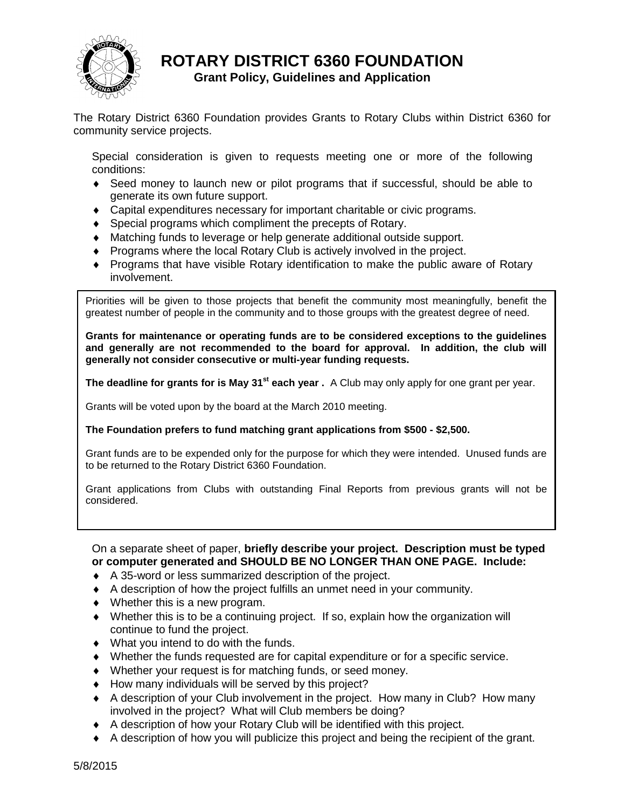

## **ROTARY DISTRICT 6360 FOUNDATION**

## **Grant Policy, Guidelines and Application**

The Rotary District 6360 Foundation provides Grants to Rotary Clubs within District 6360 for community service projects.

Special consideration is given to requests meeting one or more of the following conditions:

- Seed money to launch new or pilot programs that if successful, should be able to generate its own future support.
- Capital expenditures necessary for important charitable or civic programs.
- Special programs which compliment the precepts of Rotary.
- Matching funds to leverage or help generate additional outside support.
- Programs where the local Rotary Club is actively involved in the project.
- Programs that have visible Rotary identification to make the public aware of Rotary involvement.

Priorities will be given to those projects that benefit the community most meaningfully, benefit the greatest number of people in the community and to those groups with the greatest degree of need.

**Grants for maintenance or operating funds are to be considered exceptions to the guidelines and generally are not recommended to the board for approval. In addition, the club will generally not consider consecutive or multi-year funding requests.**

**The deadline for grants for is May 31st each year .** A Club may only apply for one grant per year.

Grants will be voted upon by the board at the March 2010 meeting.

**The Foundation prefers to fund matching grant applications from \$500 - \$2,500.**

Grant funds are to be expended only for the purpose for which they were intended. Unused funds are to be returned to the Rotary District 6360 Foundation.

Grant applications from Clubs with outstanding Final Reports from previous grants will not be considered.

On a separate sheet of paper, **briefly describe your project. Description must be typed or computer generated and SHOULD BE NO LONGER THAN ONE PAGE. Include:**

- A 35-word or less summarized description of the project.
- A description of how the project fulfills an unmet need in your community.
- Whether this is a new program.
- Whether this is to be a continuing project. If so, explain how the organization will continue to fund the project.
- What you intend to do with the funds.
- Whether the funds requested are for capital expenditure or for a specific service.
- Whether your request is for matching funds, or seed money.
- $\bullet$  How many individuals will be served by this project?
- A description of your Club involvement in the project. How many in Club? How many involved in the project? What will Club members be doing?
- A description of how your Rotary Club will be identified with this project.
- A description of how you will publicize this project and being the recipient of the grant.